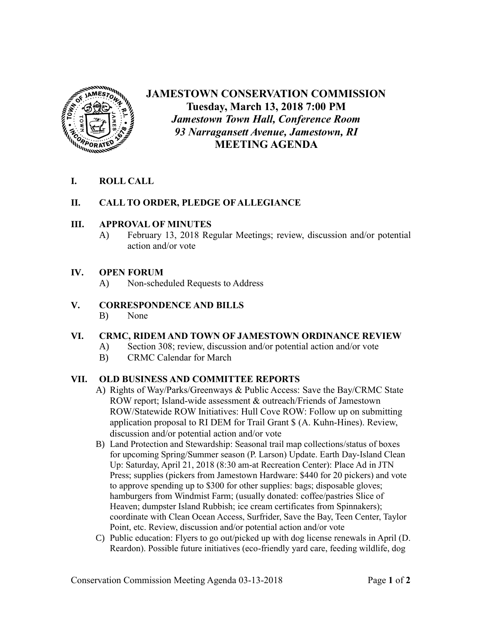

# **JAMESTOWN CONSERVATION COMMISSION Tuesday, March 13, 2018 7:00 PM** *Jamestown Town Hall, Conference Room 93 Narragansett Avenue, Jamestown, RI* **MEETING AGENDA**

# **I. ROLL CALL**

## **II. CALL TO ORDER, PLEDGE OF ALLEGIANCE**

#### **III. APPROVAL OF MINUTES**

A) February 13, 2018 Regular Meetings; review, discussion and/or potential action and/or vote

#### **IV. OPEN FORUM**

A) Non-scheduled Requests to Address

## **V. CORRESPONDENCE AND BILLS**

B) None

# **VI. CRMC, RIDEM AND TOWN OF JAMESTOWN ORDINANCE REVIEW**

- A) Section 308; review, discussion and/or potential action and/or vote
- B) CRMC Calendar for March

# **VII. OLD BUSINESS AND COMMITTEE REPORTS**

- A) Rights of Way/Parks/Greenways & Public Access: Save the Bay/CRMC State ROW report; Island-wide assessment & outreach/Friends of Jamestown ROW/Statewide ROW Initiatives: Hull Cove ROW: Follow up on submitting application proposal to RI DEM for Trail Grant \$ (A. Kuhn-Hines). Review, discussion and/or potential action and/or vote
- B) Land Protection and Stewardship: Seasonal trail map collections/status of boxes for upcoming Spring/Summer season (P. Larson) Update. Earth Day-Island Clean Up: Saturday, April 21, 2018 (8:30 am-at Recreation Center): Place Ad in JTN Press; supplies (pickers from Jamestown Hardware: \$440 for 20 pickers) and vote to approve spending up to \$300 for other supplies: bags; disposable gloves; hamburgers from Windmist Farm; (usually donated: coffee/pastries Slice of Heaven; dumpster Island Rubbish; ice cream certificates from Spinnakers); coordinate with Clean Ocean Access, Surfrider, Save the Bay, Teen Center, Taylor Point, etc. Review, discussion and/or potential action and/or vote
- C) Public education: Flyers to go out/picked up with dog license renewals in April (D. Reardon). Possible future initiatives (eco-friendly yard care, feeding wildlife, dog